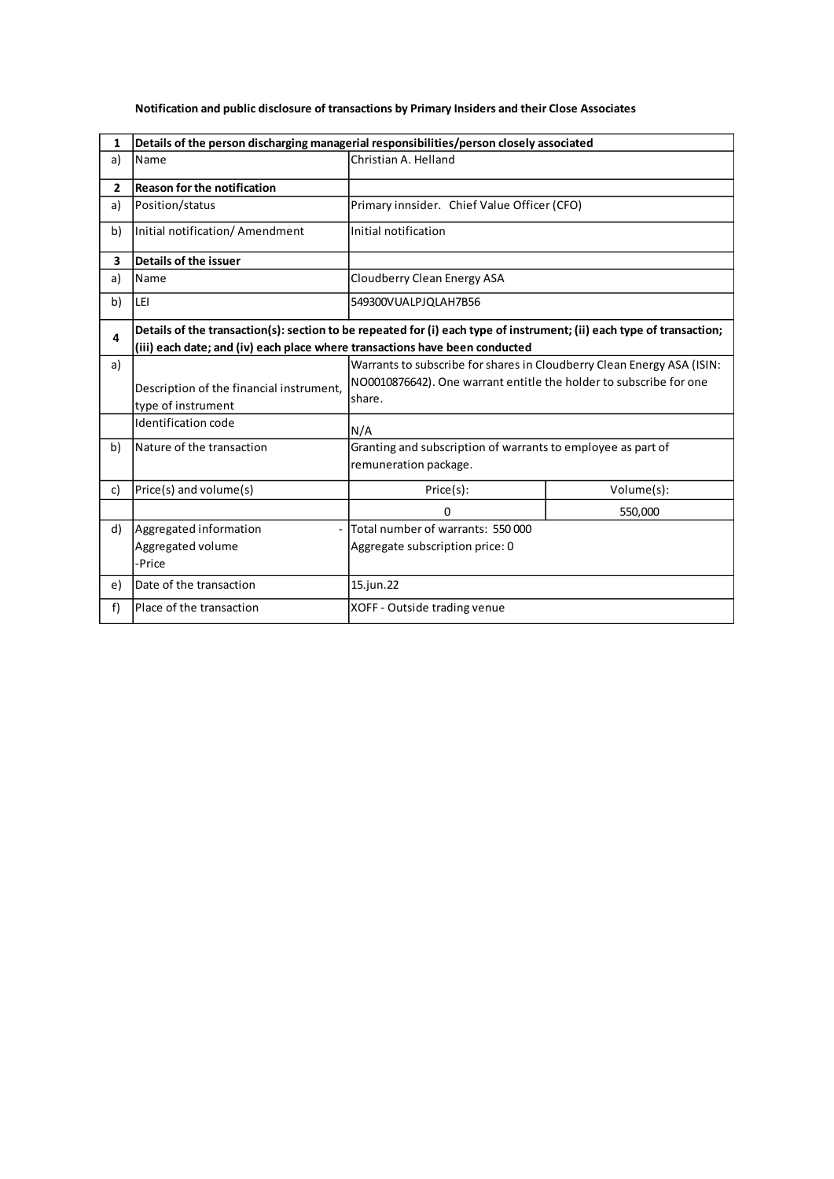| $\mathbf{1}$   | Details of the person discharging managerial responsibilities/person closely associated                                                                                                              |                                                                                                                                                               |            |
|----------------|------------------------------------------------------------------------------------------------------------------------------------------------------------------------------------------------------|---------------------------------------------------------------------------------------------------------------------------------------------------------------|------------|
| a)             | Name                                                                                                                                                                                                 | Christian A. Helland                                                                                                                                          |            |
| $\overline{2}$ | <b>Reason for the notification</b>                                                                                                                                                                   |                                                                                                                                                               |            |
| a)             | Position/status                                                                                                                                                                                      | Primary innsider. Chief Value Officer (CFO)                                                                                                                   |            |
| b)             | Initial notification/ Amendment                                                                                                                                                                      | Initial notification                                                                                                                                          |            |
| 3              | Details of the issuer                                                                                                                                                                                |                                                                                                                                                               |            |
| a)             | Name                                                                                                                                                                                                 | Cloudberry Clean Energy ASA                                                                                                                                   |            |
| b)             | LEI                                                                                                                                                                                                  | 549300VUALPJOLAH7B56                                                                                                                                          |            |
| 4              | Details of the transaction(s): section to be repeated for (i) each type of instrument; (ii) each type of transaction;<br>(iii) each date; and (iv) each place where transactions have been conducted |                                                                                                                                                               |            |
| a)             | Description of the financial instrument,<br>type of instrument<br>Identification code                                                                                                                | Warrants to subscribe for shares in Cloudberry Clean Energy ASA (ISIN:<br>NO0010876642). One warrant entitle the holder to subscribe for one<br>share.<br>N/A |            |
| b)             | Nature of the transaction                                                                                                                                                                            | Granting and subscription of warrants to employee as part of<br>remuneration package.                                                                         |            |
| c)             | Price(s) and volume(s)                                                                                                                                                                               | Price(s):                                                                                                                                                     | Volume(s): |
|                |                                                                                                                                                                                                      | $\Omega$                                                                                                                                                      | 550,000    |
| d)             | Aggregated information<br>Aggregated volume<br>-Price                                                                                                                                                | Total number of warrants: 550 000<br>Aggregate subscription price: 0                                                                                          |            |
| e)             | Date of the transaction                                                                                                                                                                              | 15.jun.22                                                                                                                                                     |            |
| f)             | Place of the transaction                                                                                                                                                                             | XOFF - Outside trading venue                                                                                                                                  |            |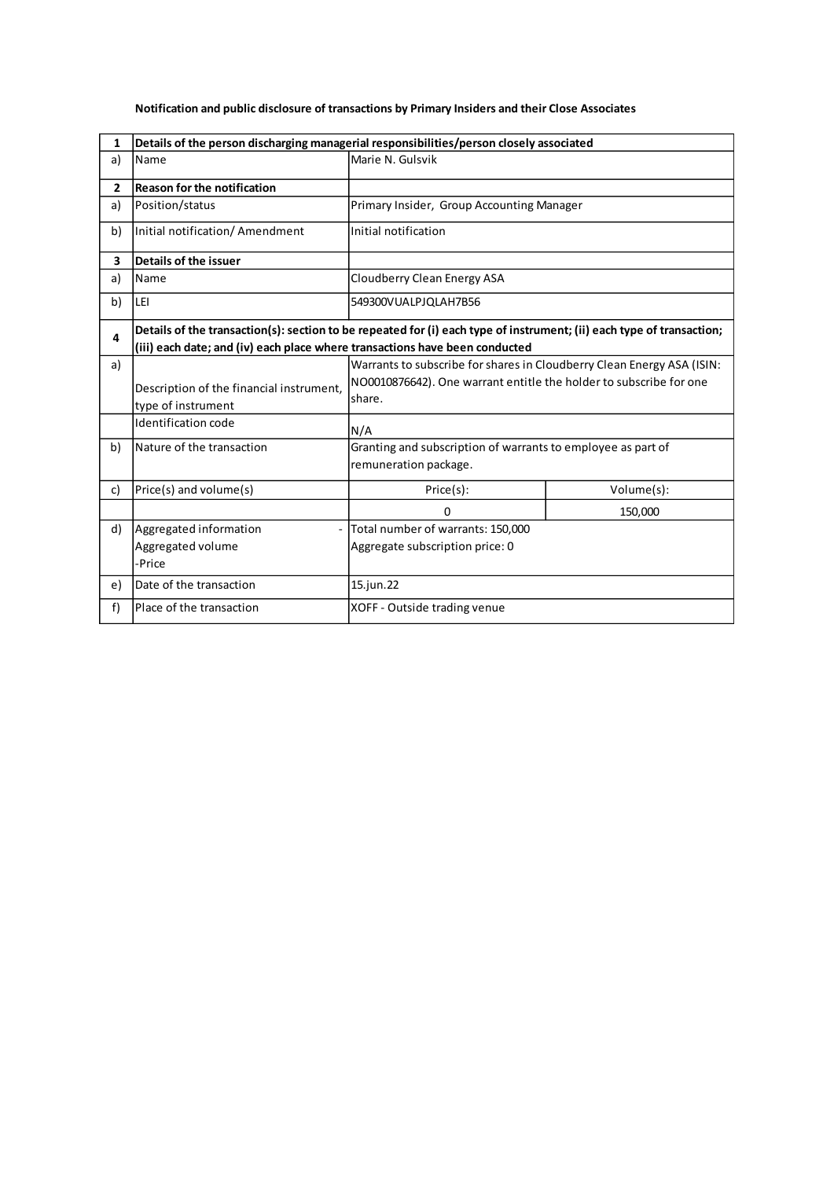| 1              | Details of the person discharging managerial responsibilities/person closely associated                                                                                                              |                                                                                                                                                        |            |
|----------------|------------------------------------------------------------------------------------------------------------------------------------------------------------------------------------------------------|--------------------------------------------------------------------------------------------------------------------------------------------------------|------------|
| a)             | Name                                                                                                                                                                                                 | Marie N. Gulsvik                                                                                                                                       |            |
| $\overline{2}$ | <b>Reason for the notification</b>                                                                                                                                                                   |                                                                                                                                                        |            |
| a)             | Position/status                                                                                                                                                                                      | Primary Insider, Group Accounting Manager                                                                                                              |            |
| b)             | Initial notification/ Amendment                                                                                                                                                                      | Initial notification                                                                                                                                   |            |
| 3              | Details of the issuer                                                                                                                                                                                |                                                                                                                                                        |            |
| a)             | Name                                                                                                                                                                                                 | Cloudberry Clean Energy ASA                                                                                                                            |            |
| b)             | LEI                                                                                                                                                                                                  | 549300VUALPJQLAH7B56                                                                                                                                   |            |
| 4              | Details of the transaction(s): section to be repeated for (i) each type of instrument; (ii) each type of transaction;<br>(iii) each date; and (iv) each place where transactions have been conducted |                                                                                                                                                        |            |
| a)             | Description of the financial instrument,<br>type of instrument<br>Identification code                                                                                                                | Warrants to subscribe for shares in Cloudberry Clean Energy ASA (ISIN:<br>NO0010876642). One warrant entitle the holder to subscribe for one<br>share. |            |
| b)             | Nature of the transaction                                                                                                                                                                            | N/A<br>Granting and subscription of warrants to employee as part of<br>remuneration package.                                                           |            |
| c)             | Price(s) and volume(s)                                                                                                                                                                               | Price(s):                                                                                                                                              | Volume(s): |
|                |                                                                                                                                                                                                      | 0                                                                                                                                                      | 150,000    |
| d)             | Aggregated information<br>Aggregated volume<br>-Price                                                                                                                                                | Total number of warrants: 150,000<br>Aggregate subscription price: 0                                                                                   |            |
| e)             | Date of the transaction                                                                                                                                                                              | 15.jun.22                                                                                                                                              |            |
| f)             | Place of the transaction                                                                                                                                                                             | XOFF - Outside trading venue                                                                                                                           |            |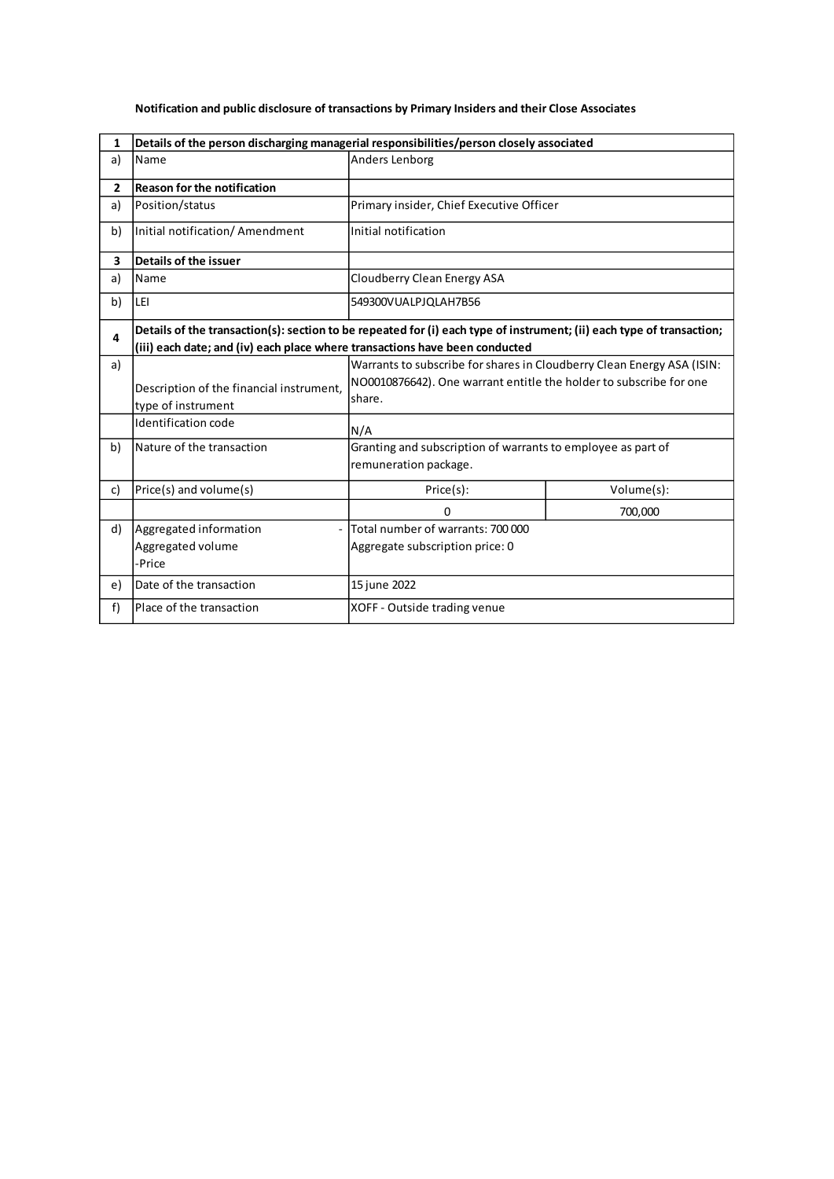| 1              | Details of the person discharging managerial responsibilities/person closely associated                                                                                                              |                                                                                                                                                        |            |
|----------------|------------------------------------------------------------------------------------------------------------------------------------------------------------------------------------------------------|--------------------------------------------------------------------------------------------------------------------------------------------------------|------------|
| a)             | Name                                                                                                                                                                                                 | Anders Lenborg                                                                                                                                         |            |
| $\overline{2}$ | <b>Reason for the notification</b>                                                                                                                                                                   |                                                                                                                                                        |            |
| a)             | Position/status                                                                                                                                                                                      | Primary insider, Chief Executive Officer                                                                                                               |            |
| b)             | Initial notification/ Amendment                                                                                                                                                                      | Initial notification                                                                                                                                   |            |
| 3              | Details of the issuer                                                                                                                                                                                |                                                                                                                                                        |            |
| a)             | Name                                                                                                                                                                                                 | Cloudberry Clean Energy ASA                                                                                                                            |            |
| b)             | LEI                                                                                                                                                                                                  | 549300VUALPJQLAH7B56                                                                                                                                   |            |
| 4              | Details of the transaction(s): section to be repeated for (i) each type of instrument; (ii) each type of transaction;<br>(iii) each date; and (iv) each place where transactions have been conducted |                                                                                                                                                        |            |
| a)             | Description of the financial instrument,<br>type of instrument<br>Identification code                                                                                                                | Warrants to subscribe for shares in Cloudberry Clean Energy ASA (ISIN:<br>NO0010876642). One warrant entitle the holder to subscribe for one<br>share. |            |
| b)             | Nature of the transaction                                                                                                                                                                            | N/A<br>Granting and subscription of warrants to employee as part of<br>remuneration package.                                                           |            |
| c)             | Price(s) and volume(s)                                                                                                                                                                               | Price(s):                                                                                                                                              | Volume(s): |
|                |                                                                                                                                                                                                      | 0                                                                                                                                                      | 700,000    |
| d)             | Aggregated information<br>Aggregated volume<br>-Price                                                                                                                                                | Total number of warrants: 700 000<br>Aggregate subscription price: 0                                                                                   |            |
| e)             | Date of the transaction                                                                                                                                                                              | 15 june 2022                                                                                                                                           |            |
| f)             | Place of the transaction                                                                                                                                                                             | XOFF - Outside trading venue                                                                                                                           |            |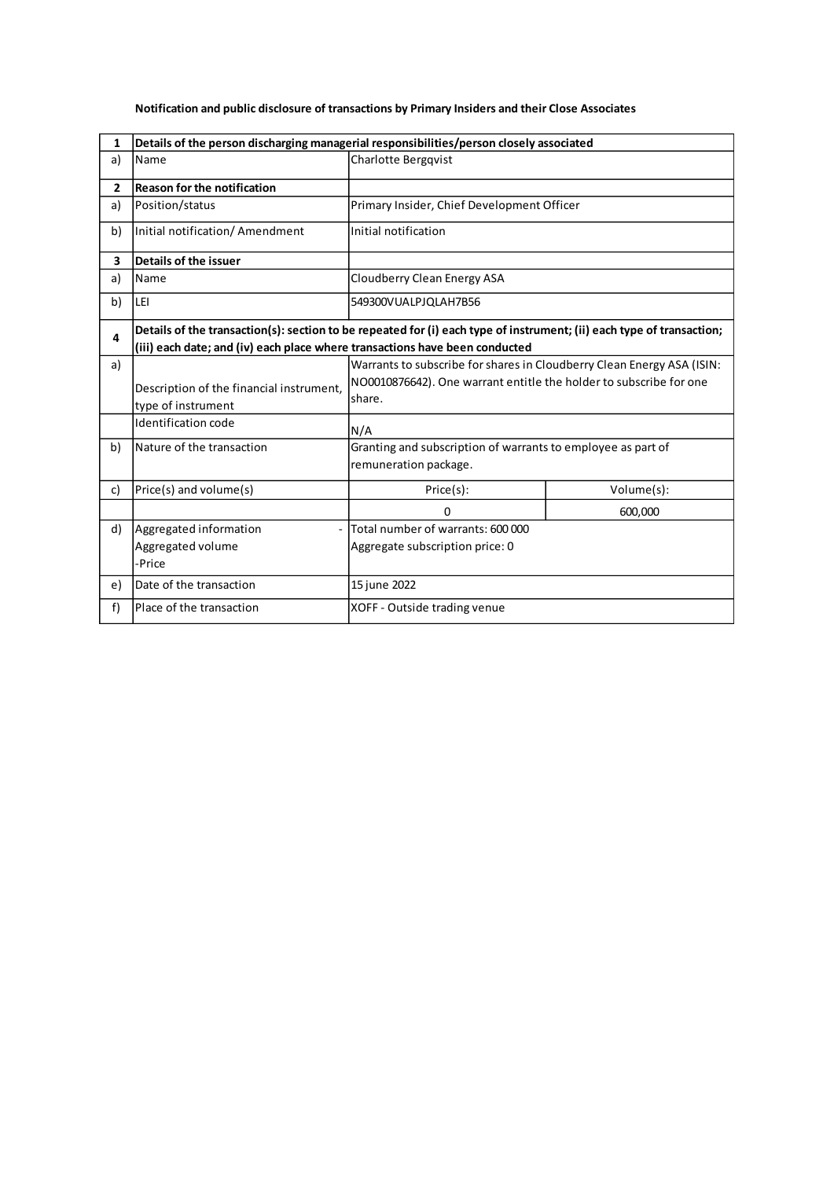| 1              | Details of the person discharging managerial responsibilities/person closely associated                                                                                                              |                                                                                                                                                        |            |
|----------------|------------------------------------------------------------------------------------------------------------------------------------------------------------------------------------------------------|--------------------------------------------------------------------------------------------------------------------------------------------------------|------------|
| a)             | Name                                                                                                                                                                                                 | Charlotte Bergqvist                                                                                                                                    |            |
| $\overline{2}$ | <b>Reason for the notification</b>                                                                                                                                                                   |                                                                                                                                                        |            |
| a)             | Position/status                                                                                                                                                                                      | Primary Insider, Chief Development Officer                                                                                                             |            |
| b)             | Initial notification/ Amendment                                                                                                                                                                      | Initial notification                                                                                                                                   |            |
| 3              | Details of the issuer                                                                                                                                                                                |                                                                                                                                                        |            |
| a)             | Name                                                                                                                                                                                                 | Cloudberry Clean Energy ASA                                                                                                                            |            |
| b)             | LEI                                                                                                                                                                                                  | 549300VUALPJQLAH7B56                                                                                                                                   |            |
| 4              | Details of the transaction(s): section to be repeated for (i) each type of instrument; (ii) each type of transaction;<br>(iii) each date; and (iv) each place where transactions have been conducted |                                                                                                                                                        |            |
| a)             | Description of the financial instrument,<br>type of instrument<br>Identification code                                                                                                                | Warrants to subscribe for shares in Cloudberry Clean Energy ASA (ISIN:<br>NO0010876642). One warrant entitle the holder to subscribe for one<br>share. |            |
| b)             | Nature of the transaction                                                                                                                                                                            | N/A<br>Granting and subscription of warrants to employee as part of<br>remuneration package.                                                           |            |
| c)             | Price(s) and volume(s)                                                                                                                                                                               | Price(s):                                                                                                                                              | Volume(s): |
|                |                                                                                                                                                                                                      | 0                                                                                                                                                      | 600,000    |
| d)             | Aggregated information<br>Aggregated volume<br>-Price                                                                                                                                                | Total number of warrants: 600 000<br>Aggregate subscription price: 0                                                                                   |            |
| e)             | Date of the transaction                                                                                                                                                                              | 15 june 2022                                                                                                                                           |            |
| f)             | Place of the transaction                                                                                                                                                                             | XOFF - Outside trading venue                                                                                                                           |            |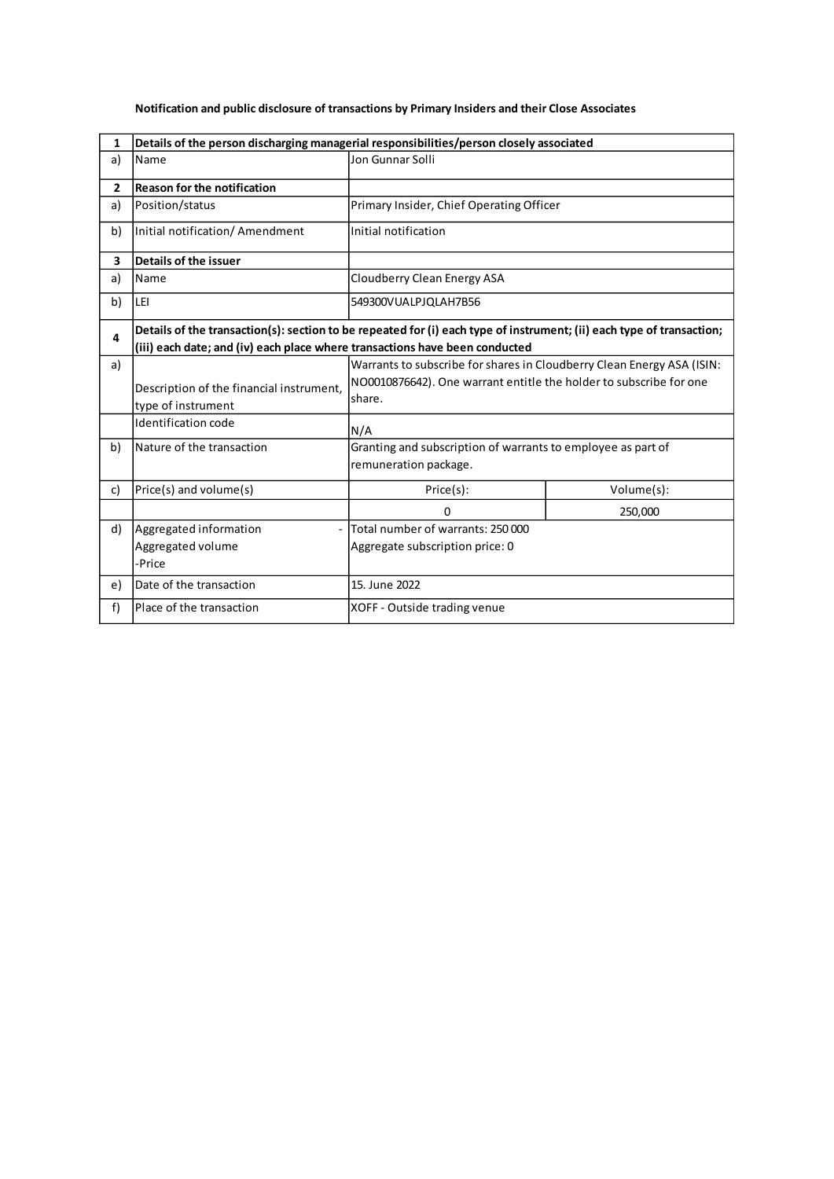| $\mathbf{1}$   | Details of the person discharging managerial responsibilities/person closely associated                                                                                                              |                                                                                                                                                               |            |
|----------------|------------------------------------------------------------------------------------------------------------------------------------------------------------------------------------------------------|---------------------------------------------------------------------------------------------------------------------------------------------------------------|------------|
| a)             | Name                                                                                                                                                                                                 | Jon Gunnar Solli                                                                                                                                              |            |
| $\overline{2}$ | <b>Reason for the notification</b>                                                                                                                                                                   |                                                                                                                                                               |            |
| a)             | Position/status                                                                                                                                                                                      | Primary Insider, Chief Operating Officer                                                                                                                      |            |
| b)             | Initial notification/ Amendment                                                                                                                                                                      | Initial notification                                                                                                                                          |            |
| 3              | Details of the issuer                                                                                                                                                                                |                                                                                                                                                               |            |
| a)             | Name                                                                                                                                                                                                 | Cloudberry Clean Energy ASA                                                                                                                                   |            |
| b)             | LEI                                                                                                                                                                                                  | 549300VUALPJOLAH7B56                                                                                                                                          |            |
| 4              | Details of the transaction(s): section to be repeated for (i) each type of instrument; (ii) each type of transaction;<br>(iii) each date; and (iv) each place where transactions have been conducted |                                                                                                                                                               |            |
| a)             | Description of the financial instrument,<br>type of instrument<br>Identification code                                                                                                                | Warrants to subscribe for shares in Cloudberry Clean Energy ASA (ISIN:<br>NO0010876642). One warrant entitle the holder to subscribe for one<br>share.<br>N/A |            |
| b)             | Nature of the transaction                                                                                                                                                                            | Granting and subscription of warrants to employee as part of<br>remuneration package.                                                                         |            |
| c)             | Price(s) and volume(s)                                                                                                                                                                               | Price(s):                                                                                                                                                     | Volume(s): |
|                |                                                                                                                                                                                                      | 0                                                                                                                                                             | 250,000    |
| d)             | Aggregated information<br>Aggregated volume<br>-Price                                                                                                                                                | Total number of warrants: 250 000<br>Aggregate subscription price: 0                                                                                          |            |
| e)             | Date of the transaction                                                                                                                                                                              | 15. June 2022                                                                                                                                                 |            |
| f)             | Place of the transaction                                                                                                                                                                             | XOFF - Outside trading venue                                                                                                                                  |            |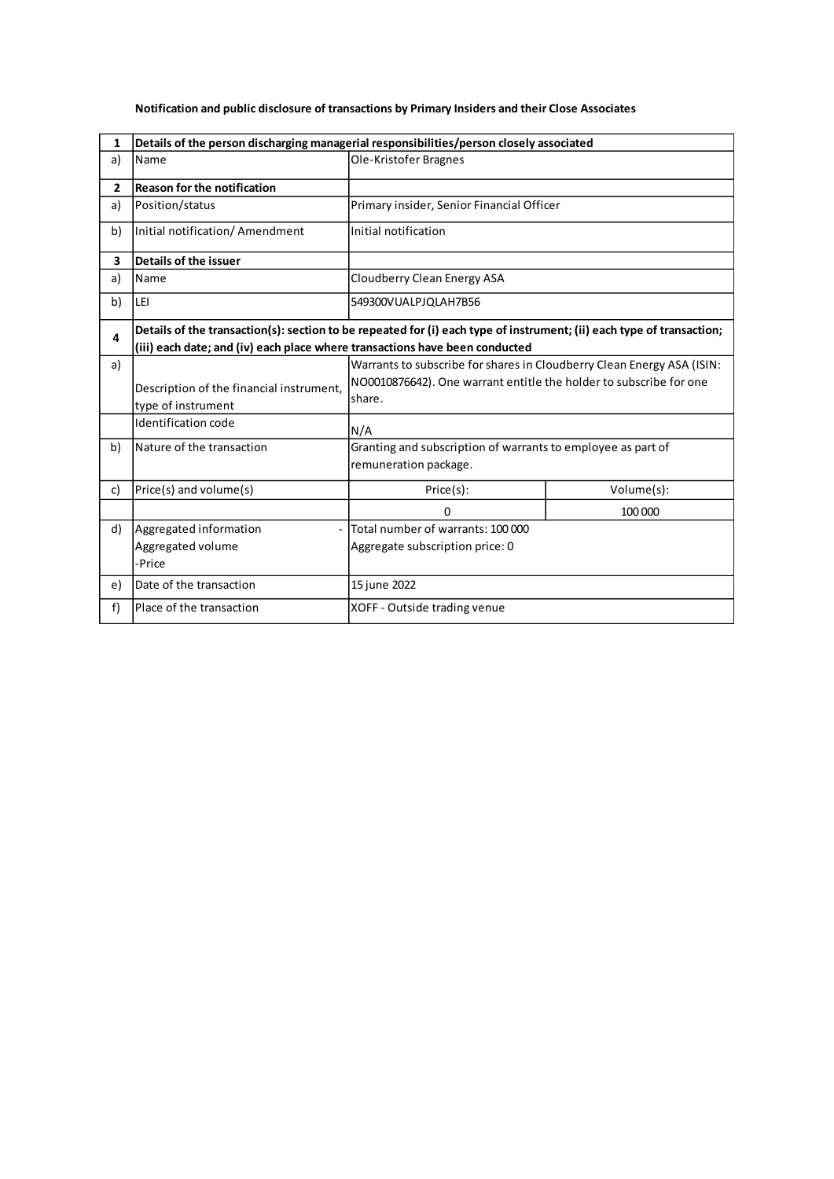| 1              | Details of the person discharging managerial responsibilities/person closely associated                                                                                                              |                                                                                                                                                        |                                           |  |
|----------------|------------------------------------------------------------------------------------------------------------------------------------------------------------------------------------------------------|--------------------------------------------------------------------------------------------------------------------------------------------------------|-------------------------------------------|--|
| a)             | Name                                                                                                                                                                                                 | Ole-Kristofer Bragnes                                                                                                                                  |                                           |  |
| $\overline{2}$ | <b>Reason for the notification</b>                                                                                                                                                                   |                                                                                                                                                        |                                           |  |
| a)             | Position/status                                                                                                                                                                                      |                                                                                                                                                        | Primary insider, Senior Financial Officer |  |
| b)             | Initial notification/ Amendment                                                                                                                                                                      | Initial notification                                                                                                                                   |                                           |  |
| 3              | Details of the issuer                                                                                                                                                                                |                                                                                                                                                        |                                           |  |
| a)             | Name                                                                                                                                                                                                 | Cloudberry Clean Energy ASA                                                                                                                            |                                           |  |
| b)             | LEI                                                                                                                                                                                                  | 549300VUALPJQLAH7B56                                                                                                                                   |                                           |  |
| 4              | Details of the transaction(s): section to be repeated for (i) each type of instrument; (ii) each type of transaction;<br>(iii) each date; and (iv) each place where transactions have been conducted |                                                                                                                                                        |                                           |  |
| a)             | Description of the financial instrument,<br>type of instrument<br>Identification code                                                                                                                | Warrants to subscribe for shares in Cloudberry Clean Energy ASA (ISIN:<br>NO0010876642). One warrant entitle the holder to subscribe for one<br>share. |                                           |  |
| b)             | Nature of the transaction                                                                                                                                                                            | N/A<br>Granting and subscription of warrants to employee as part of<br>remuneration package.                                                           |                                           |  |
| c)             | Price(s) and volume(s)                                                                                                                                                                               | Price(s):                                                                                                                                              | Volume(s):                                |  |
|                |                                                                                                                                                                                                      | 0                                                                                                                                                      | 100 000                                   |  |
| d)             | Aggregated information<br>Aggregated volume<br>-Price                                                                                                                                                | Total number of warrants: 100 000<br>Aggregate subscription price: 0                                                                                   |                                           |  |
| e)             | Date of the transaction                                                                                                                                                                              | 15 june 2022                                                                                                                                           |                                           |  |
| f)             | Place of the transaction                                                                                                                                                                             | XOFF - Outside trading venue                                                                                                                           |                                           |  |